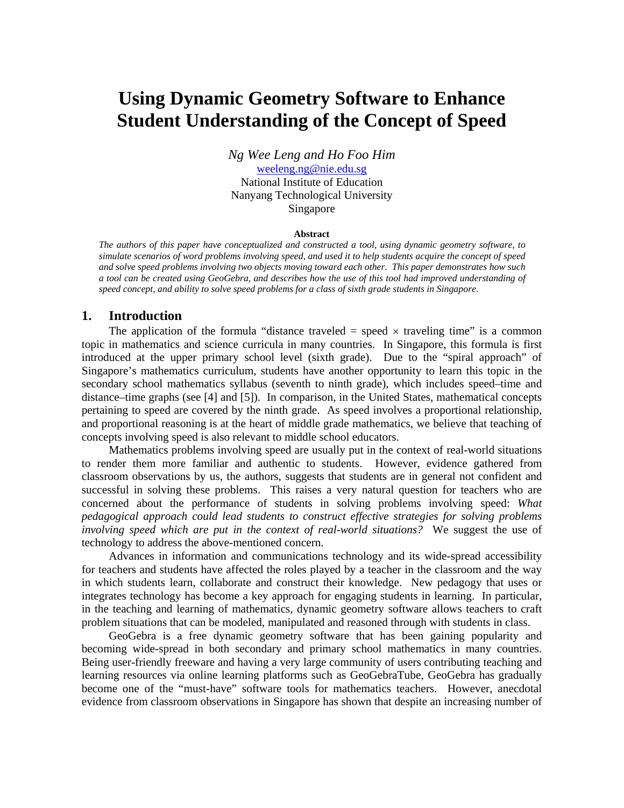# **Using Dynamic Geometry Software to Enhance Student Understanding of the Concept of Speed**

*Ng Wee Leng and Ho Foo Him* 

weeleng.ng@nie.edu.sg National Institute of Education Nanyang Technological University Singapore

#### **Abstract**

*The authors of this paper have conceptualized and constructed a tool, using dynamic geometry software, to simulate scenarios of word problems involving speed, and used it to help students acquire the concept of speed and solve speed problems involving two objects moving toward each other. This paper demonstrates how such a tool can be created using GeoGebra, and describes how the use of this tool had improved understanding of speed concept, and ability to solve speed problems for a class of sixth grade students in Singapore.* 

#### **1. Introduction**

The application of the formula "distance traveled  $=$  speed  $\times$  traveling time" is a common topic in mathematics and science curricula in many countries. In Singapore, this formula is first introduced at the upper primary school level (sixth grade). Due to the "spiral approach" of Singapore's mathematics curriculum, students have another opportunity to learn this topic in the secondary school mathematics syllabus (seventh to ninth grade), which includes speed–time and distance–time graphs (see [4] and [5]). In comparison, in the United States, mathematical concepts pertaining to speed are covered by the ninth grade. As speed involves a proportional relationship, and proportional reasoning is at the heart of middle grade mathematics, we believe that teaching of concepts involving speed is also relevant to middle school educators.

Mathematics problems involving speed are usually put in the context of real-world situations to render them more familiar and authentic to students. However, evidence gathered from classroom observations by us, the authors, suggests that students are in general not confident and successful in solving these problems. This raises a very natural question for teachers who are concerned about the performance of students in solving problems involving speed: *What pedagogical approach could lead students to construct effective strategies for solving problems involving speed which are put in the context of real-world situations?* We suggest the use of technology to address the above-mentioned concern.

Advances in information and communications technology and its wide-spread accessibility for teachers and students have affected the roles played by a teacher in the classroom and the way in which students learn, collaborate and construct their knowledge. New pedagogy that uses or integrates technology has become a key approach for engaging students in learning. In particular, in the teaching and learning of mathematics, dynamic geometry software allows teachers to craft problem situations that can be modeled, manipulated and reasoned through with students in class.

GeoGebra is a free dynamic geometry software that has been gaining popularity and becoming wide-spread in both secondary and primary school mathematics in many countries. Being user-friendly freeware and having a very large community of users contributing teaching and learning resources via online learning platforms such as GeoGebraTube, GeoGebra has gradually become one of the "must-have" software tools for mathematics teachers. However, anecdotal evidence from classroom observations in Singapore has shown that despite an increasing number of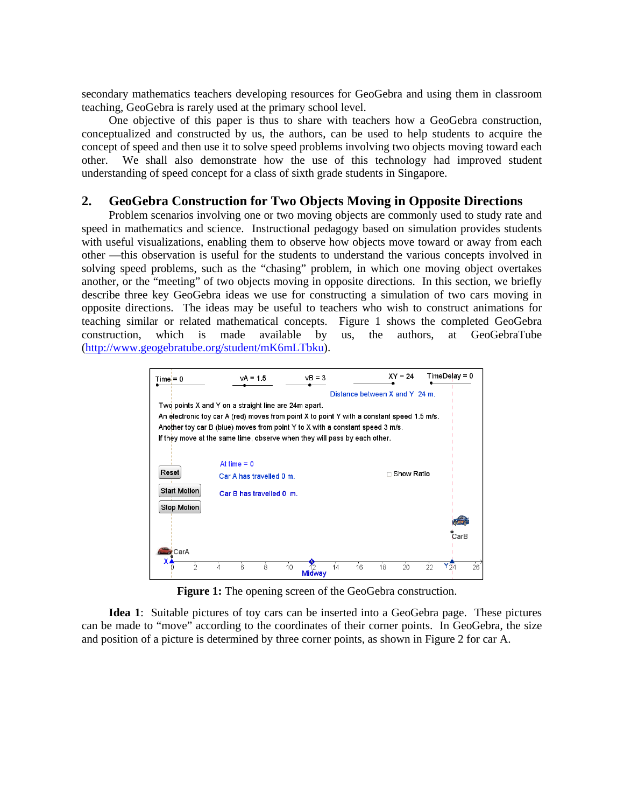secondary mathematics teachers developing resources for GeoGebra and using them in classroom teaching, GeoGebra is rarely used at the primary school level.

One objective of this paper is thus to share with teachers how a GeoGebra construction, conceptualized and constructed by us, the authors, can be used to help students to acquire the concept of speed and then use it to solve speed problems involving two objects moving toward each other. We shall also demonstrate how the use of this technology had improved student understanding of speed concept for a class of sixth grade students in Singapore.

## **2. GeoGebra Construction for Two Objects Moving in Opposite Directions**

Problem scenarios involving one or two moving objects are commonly used to study rate and speed in mathematics and science. Instructional pedagogy based on simulation provides students with useful visualizations, enabling them to observe how objects move toward or away from each other —this observation is useful for the students to understand the various concepts involved in solving speed problems, such as the "chasing" problem, in which one moving object overtakes another, or the "meeting" of two objects moving in opposite directions. In this section, we briefly describe three key GeoGebra ideas we use for constructing a simulation of two cars moving in opposite directions. The ideas may be useful to teachers who wish to construct animations for teaching similar or related mathematical concepts. Figure 1 shows the completed GeoGebra construction, which is made available by us, the authors, at GeoGebraTube (http://www.geogebratube.org/student/mK6mLTbku).

| $Time = 0$          | $vA = 1.5$                                           | $vB = 3$                                                                                   | $XY = 24$                      | $TimeDe$ ay = 0      |  |  |
|---------------------|------------------------------------------------------|--------------------------------------------------------------------------------------------|--------------------------------|----------------------|--|--|
|                     |                                                      |                                                                                            | Distance between X and Y 24 m. |                      |  |  |
|                     | Two points X and Y on a straight line are 24m apart. |                                                                                            |                                |                      |  |  |
|                     |                                                      | An electronic toy car A (red) moves from point X to point Y with a constant speed 1.5 m/s. |                                |                      |  |  |
|                     |                                                      | Another toy car B (blue) moves from point Y to X with a constant speed 3 m/s.              |                                |                      |  |  |
|                     |                                                      | If they move at the same time, observe when they will pass by each other.                  |                                |                      |  |  |
|                     |                                                      |                                                                                            |                                |                      |  |  |
|                     | At time $= 0$                                        |                                                                                            |                                |                      |  |  |
| Reset               | Car A has travelled 0 m.                             |                                                                                            | □ Show Ratio                   |                      |  |  |
| <b>Start Motion</b> | Car B has travelled 0 m.                             |                                                                                            |                                |                      |  |  |
|                     |                                                      |                                                                                            |                                |                      |  |  |
| <b>Stop Motion</b>  |                                                      |                                                                                            |                                |                      |  |  |
|                     |                                                      |                                                                                            |                                |                      |  |  |
|                     |                                                      |                                                                                            |                                | CarB                 |  |  |
| CarA                |                                                      |                                                                                            |                                |                      |  |  |
| x                   |                                                      |                                                                                            |                                |                      |  |  |
| $\mathfrak{D}$      | $\overline{8}$<br>6<br>4                             | 10<br>14<br>12<br><b>Midway</b>                                                            | 16<br>18<br>$20^{\circ}$       | $26^{'}$<br>Y五<br>22 |  |  |

Figure 1: The opening screen of the GeoGebra construction.

**Idea 1**: Suitable pictures of toy cars can be inserted into a GeoGebra page. These pictures can be made to "move" according to the coordinates of their corner points. In GeoGebra, the size and position of a picture is determined by three corner points, as shown in Figure 2 for car A.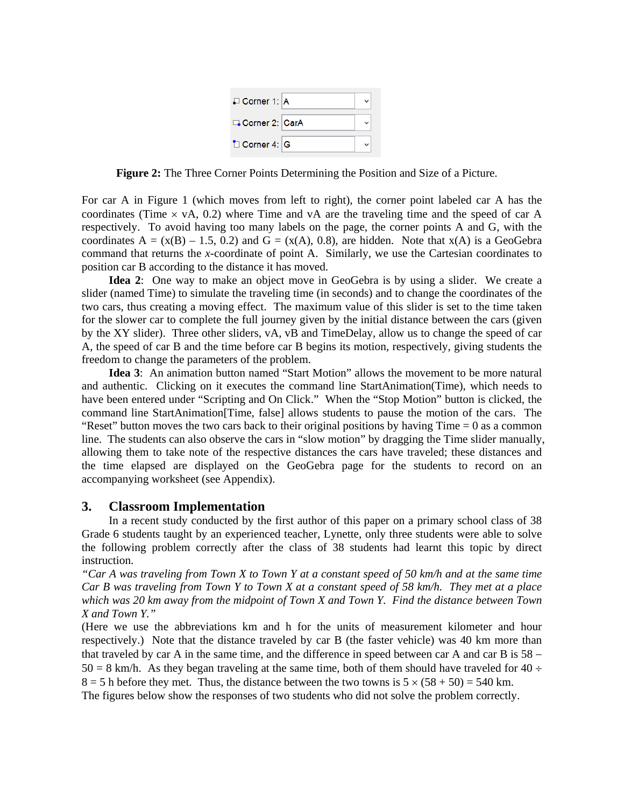| $\Box$ Corner 1: A      |  |
|-------------------------|--|
| Corner 2: CarA          |  |
| $\Box$ Corner 4: $\Box$ |  |

**Figure 2:** The Three Corner Points Determining the Position and Size of a Picture.

For car A in Figure 1 (which moves from left to right), the corner point labeled car A has the coordinates (Time  $\times$  vA, 0.2) where Time and vA are the traveling time and the speed of car A respectively. To avoid having too many labels on the page, the corner points A and G, with the coordinates A =  $(x(B) - 1.5, 0.2)$  and G =  $(x(A), 0.8)$ , are hidden. Note that  $x(A)$  is a GeoGebra command that returns the *x*-coordinate of point A. Similarly, we use the Cartesian coordinates to position car B according to the distance it has moved.

 **Idea 2**: One way to make an object move in GeoGebra is by using a slider. We create a slider (named Time) to simulate the traveling time (in seconds) and to change the coordinates of the two cars, thus creating a moving effect. The maximum value of this slider is set to the time taken for the slower car to complete the full journey given by the initial distance between the cars (given by the XY slider). Three other sliders, vA, vB and TimeDelay, allow us to change the speed of car A, the speed of car B and the time before car B begins its motion, respectively, giving students the freedom to change the parameters of the problem.

 **Idea 3**: An animation button named "Start Motion" allows the movement to be more natural and authentic. Clicking on it executes the command line StartAnimation(Time), which needs to have been entered under "Scripting and On Click." When the "Stop Motion" button is clicked, the command line StartAnimation[Time, false] allows students to pause the motion of the cars. The "Reset" button moves the two cars back to their original positions by having  $Time = 0$  as a common line. The students can also observe the cars in "slow motion" by dragging the Time slider manually, allowing them to take note of the respective distances the cars have traveled; these distances and the time elapsed are displayed on the GeoGebra page for the students to record on an accompanying worksheet (see Appendix).

### **3. Classroom Implementation**

 In a recent study conducted by the first author of this paper on a primary school class of 38 Grade 6 students taught by an experienced teacher, Lynette, only three students were able to solve the following problem correctly after the class of 38 students had learnt this topic by direct instruction.

*"Car A was traveling from Town X to Town Y at a constant speed of 50 km/h and at the same time Car B was traveling from Town Y to Town X at a constant speed of 58 km/h. They met at a place which was 20 km away from the midpoint of Town X and Town Y. Find the distance between Town X and Town Y."*

(Here we use the abbreviations km and h for the units of measurement kilometer and hour respectively.) Note that the distance traveled by car B (the faster vehicle) was 40 km more than that traveled by car A in the same time, and the difference in speed between car A and car B is  $58 50 = 8$  km/h. As they began traveling at the same time, both of them should have traveled for  $40 \div$  $8 = 5$  h before they met. Thus, the distance between the two towns is  $5 \times (58 + 50) = 540$  km. The figures below show the responses of two students who did not solve the problem correctly.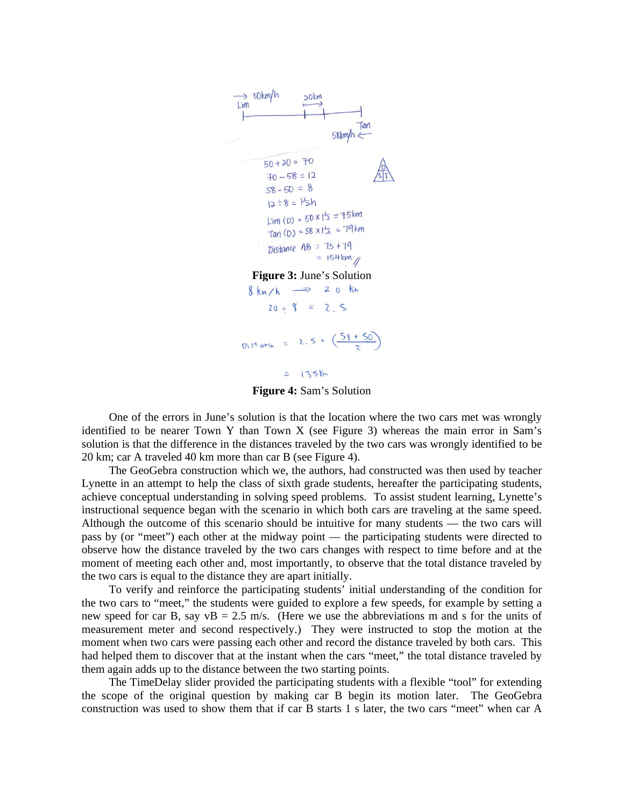

**Figure 4:** Sam's Solution

One of the errors in June's solution is that the location where the two cars met was wrongly identified to be nearer Town Y than Town X (see Figure 3) whereas the main error in Sam's solution is that the difference in the distances traveled by the two cars was wrongly identified to be 20 km; car A traveled 40 km more than car B (see Figure 4).

 The GeoGebra construction which we, the authors, had constructed was then used by teacher Lynette in an attempt to help the class of sixth grade students, hereafter the participating students, achieve conceptual understanding in solving speed problems. To assist student learning, Lynette's instructional sequence began with the scenario in which both cars are traveling at the same speed. Although the outcome of this scenario should be intuitive for many students — the two cars will pass by (or "meet") each other at the midway point — the participating students were directed to observe how the distance traveled by the two cars changes with respect to time before and at the moment of meeting each other and, most importantly, to observe that the total distance traveled by the two cars is equal to the distance they are apart initially.

 To verify and reinforce the participating students' initial understanding of the condition for the two cars to "meet," the students were guided to explore a few speeds, for example by setting a new speed for car B, say  $vB = 2.5$  m/s. (Here we use the abbreviations m and s for the units of measurement meter and second respectively.) They were instructed to stop the motion at the moment when two cars were passing each other and record the distance traveled by both cars. This had helped them to discover that at the instant when the cars "meet," the total distance traveled by them again adds up to the distance between the two starting points.

 The TimeDelay slider provided the participating students with a flexible "tool" for extending the scope of the original question by making car B begin its motion later. The GeoGebra construction was used to show them that if car B starts 1 s later, the two cars "meet" when car A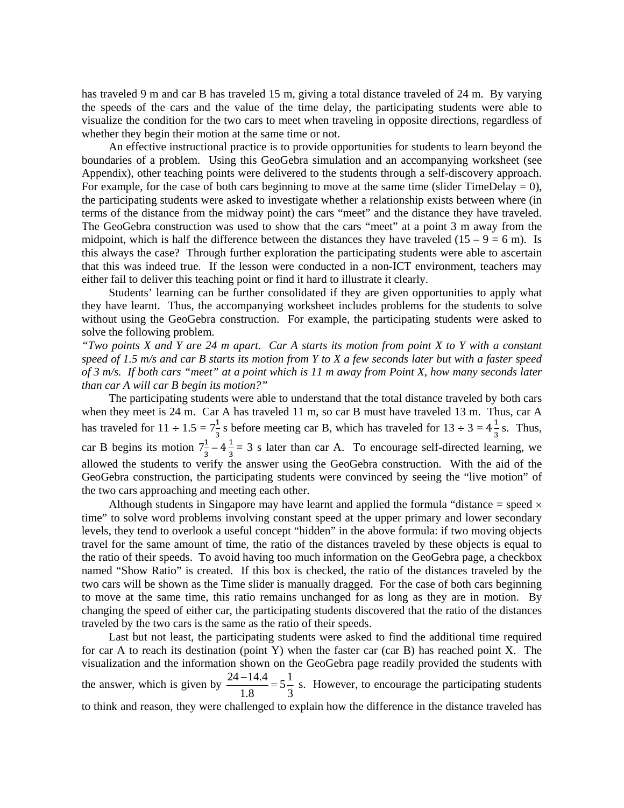has traveled 9 m and car B has traveled 15 m, giving a total distance traveled of 24 m. By varying the speeds of the cars and the value of the time delay, the participating students were able to visualize the condition for the two cars to meet when traveling in opposite directions, regardless of whether they begin their motion at the same time or not.

 An effective instructional practice is to provide opportunities for students to learn beyond the boundaries of a problem. Using this GeoGebra simulation and an accompanying worksheet (see Appendix), other teaching points were delivered to the students through a self-discovery approach. For example, for the case of both cars beginning to move at the same time (slider TimeDelay  $= 0$ ), the participating students were asked to investigate whether a relationship exists between where (in terms of the distance from the midway point) the cars "meet" and the distance they have traveled. The GeoGebra construction was used to show that the cars "meet" at a point 3 m away from the midpoint, which is half the difference between the distances they have traveled  $(15 - 9 = 6 \text{ m})$ . Is this always the case? Through further exploration the participating students were able to ascertain that this was indeed true. If the lesson were conducted in a non-ICT environment, teachers may either fail to deliver this teaching point or find it hard to illustrate it clearly.

 Students' learning can be further consolidated if they are given opportunities to apply what they have learnt. Thus, the accompanying worksheet includes problems for the students to solve without using the GeoGebra construction. For example, the participating students were asked to solve the following problem.

*"Two points X and Y are 24 m apart. Car A starts its motion from point X to Y with a constant speed of 1.5 m/s and car B starts its motion from Y to X a few seconds later but with a faster speed of 3 m/s. If both cars "meet" at a point which is 11 m away from Point X, how many seconds later than car A will car B begin its motion?"* 

 The participating students were able to understand that the total distance traveled by both cars when they meet is 24 m. Car A has traveled 11 m, so car B must have traveled 13 m. Thus, car A has traveled for  $11 \div 1.5 = 7\frac{1}{3}$  s before meeting car B, which has traveled for  $13 \div 3 = 4\frac{1}{3}$  s. Thus, car B begins its motion  $7\frac{1}{3} - 4\frac{1}{3} = 3$  s later than car A. To encourage self-directed learning, we allowed the students to verify the answer using the GeoGebra construction. With the aid of the GeoGebra construction, the participating students were convinced by seeing the "live motion" of the two cars approaching and meeting each other.

Although students in Singapore may have learnt and applied the formula "distance  $=$  speed  $\times$ time" to solve word problems involving constant speed at the upper primary and lower secondary levels, they tend to overlook a useful concept "hidden" in the above formula: if two moving objects travel for the same amount of time, the ratio of the distances traveled by these objects is equal to the ratio of their speeds. To avoid having too much information on the GeoGebra page, a checkbox named "Show Ratio" is created. If this box is checked, the ratio of the distances traveled by the two cars will be shown as the Time slider is manually dragged. For the case of both cars beginning to move at the same time, this ratio remains unchanged for as long as they are in motion. By changing the speed of either car, the participating students discovered that the ratio of the distances traveled by the two cars is the same as the ratio of their speeds.

 Last but not least, the participating students were asked to find the additional time required for car A to reach its destination (point Y) when the faster car (car B) has reached point X. The visualization and the information shown on the GeoGebra page readily provided the students with the answer, which is given by  $\frac{24 - 14.4}{100} = 5\frac{1}{2}$ 1.8 3  $\frac{-14.4}{12.5}$  = 5<sup>1</sup>/<sub>2</sub> s. However, to encourage the participating students to think and reason, they were challenged to explain how the difference in the distance traveled has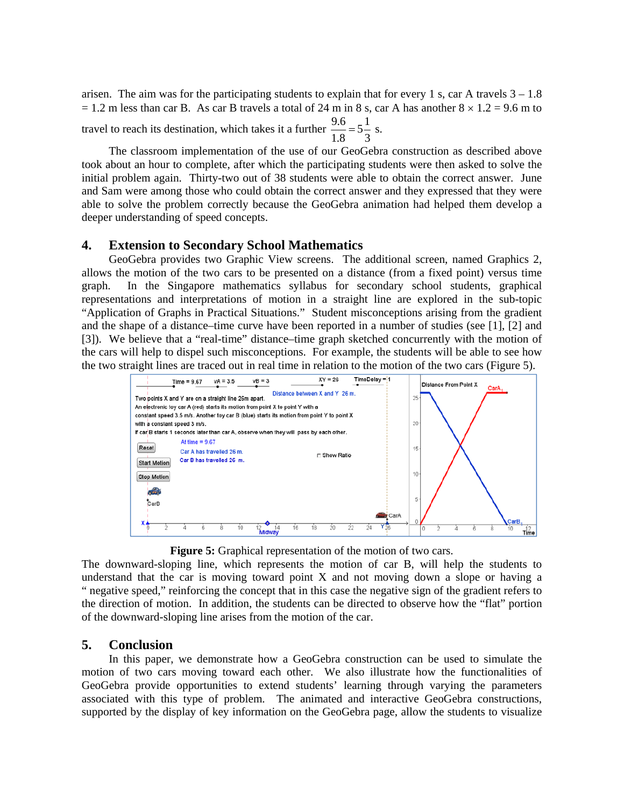arisen. The aim was for the participating students to explain that for every 1 s, car A travels  $3 - 1.8$  $= 1.2$  m less than car B. As car B travels a total of 24 m in 8 s, car A has another  $8 \times 1.2 = 9.6$  m to travel to reach its destination, which takes it a further  $\frac{9.6}{1.8} = 5\frac{1}{3}$  s.

 The classroom implementation of the use of our GeoGebra construction as described above took about an hour to complete, after which the participating students were then asked to solve the initial problem again. Thirty-two out of 38 students were able to obtain the correct answer. June and Sam were among those who could obtain the correct answer and they expressed that they were able to solve the problem correctly because the GeoGebra animation had helped them develop a deeper understanding of speed concepts.

### **4. Extension to Secondary School Mathematics**

 GeoGebra provides two Graphic View screens. The additional screen, named Graphics 2, allows the motion of the two cars to be presented on a distance (from a fixed point) versus time graph. In the Singapore mathematics syllabus for secondary school students, graphical representations and interpretations of motion in a straight line are explored in the sub-topic "Application of Graphs in Practical Situations." Student misconceptions arising from the gradient and the shape of a distance–time curve have been reported in a number of studies (see [1], [2] and [3]). We believe that a "real-time" distance–time graph sketched concurrently with the motion of the cars will help to dispel such misconceptions. For example, the students will be able to see how the two straight lines are traced out in real time in relation to the motion of the two cars (Figure 5).



**Figure 5:** Graphical representation of the motion of two cars.

The downward-sloping line, which represents the motion of car B, will help the students to understand that the car is moving toward point  $X$  and not moving down a slope or having a " negative speed," reinforcing the concept that in this case the negative sign of the gradient refers to the direction of motion. In addition, the students can be directed to observe how the "flat" portion of the downward-sloping line arises from the motion of the car.

### **5. Conclusion**

 In this paper, we demonstrate how a GeoGebra construction can be used to simulate the motion of two cars moving toward each other. We also illustrate how the functionalities of GeoGebra provide opportunities to extend students' learning through varying the parameters associated with this type of problem. The animated and interactive GeoGebra constructions, supported by the display of key information on the GeoGebra page, allow the students to visualize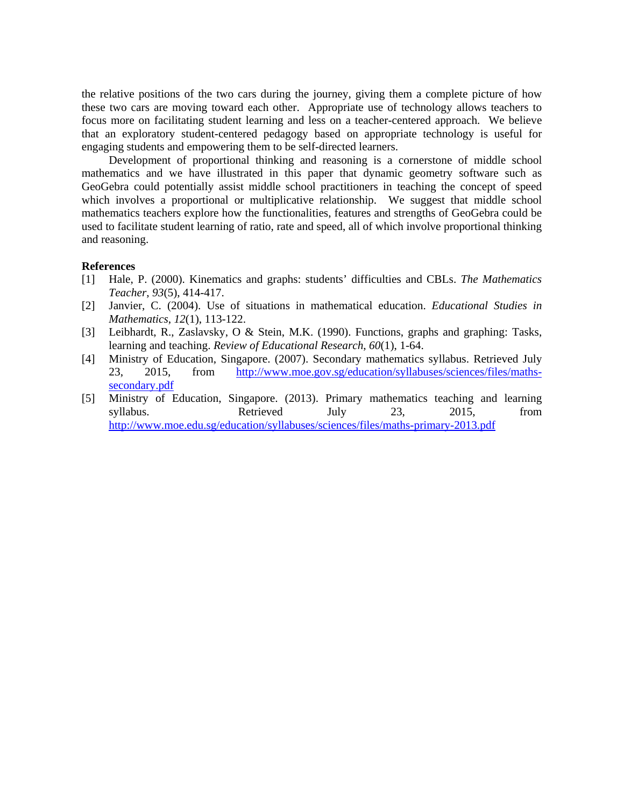the relative positions of the two cars during the journey, giving them a complete picture of how these two cars are moving toward each other. Appropriate use of technology allows teachers to focus more on facilitating student learning and less on a teacher-centered approach. We believe that an exploratory student-centered pedagogy based on appropriate technology is useful for engaging students and empowering them to be self-directed learners.

 Development of proportional thinking and reasoning is a cornerstone of middle school mathematics and we have illustrated in this paper that dynamic geometry software such as GeoGebra could potentially assist middle school practitioners in teaching the concept of speed which involves a proportional or multiplicative relationship. We suggest that middle school mathematics teachers explore how the functionalities, features and strengths of GeoGebra could be used to facilitate student learning of ratio, rate and speed, all of which involve proportional thinking and reasoning.

#### **References**

- [1] Hale, P. (2000). Kinematics and graphs: students' difficulties and CBLs. *The Mathematics Teacher*, *93*(5), 414-417.
- [2] Janvier, C. (2004). Use of situations in mathematical education. *Educational Studies in Mathematics*, *12*(1), 113-122.
- [3] Leibhardt, R., Zaslavsky, O & Stein, M.K. (1990). Functions, graphs and graphing: Tasks, learning and teaching. *Review of Educational Research*, *60*(1), 1-64.
- [4] Ministry of Education, Singapore. (2007). Secondary mathematics syllabus. Retrieved July 23, 2015, from http://www.moe.gov.sg/education/syllabuses/sciences/files/mathssecondary.pdf
- [5] Ministry of Education, Singapore. (2013). Primary mathematics teaching and learning syllabus. Retrieved July 23, 2015, from http://www.moe.edu.sg/education/syllabuses/sciences/files/maths-primary-2013.pdf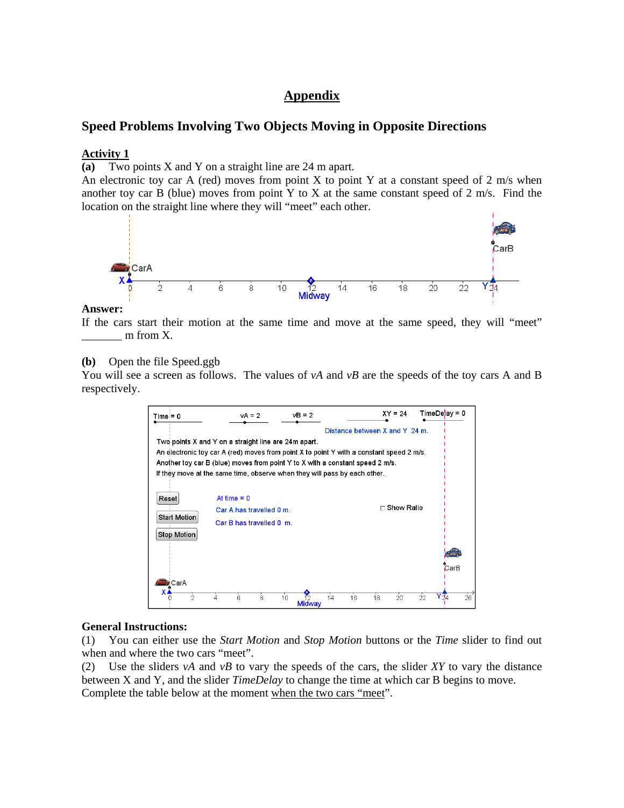## **Appendix**

## **Speed Problems Involving Two Objects Moving in Opposite Directions**

#### **Activity 1**

**(a)** Two points X and Y on a straight line are 24 m apart.

An electronic toy car A (red) moves from point X to point Y at a constant speed of 2 m/s when another toy car B (blue) moves from point Y to X at the same constant speed of 2 m/s. Find the location on the straight line where they will "meet" each other.



#### **Answer:**

If the cars start their motion at the same time and move at the same speed, they will "meet"  $\equiv$  m from X.

**(b)** Open the file Speed.ggb

You will see a screen as follows. The values of  $vA$  and  $vB$  are the speeds of the toy cars A and B respectively.

| $Time = 0$          | $vA = 2$                                                                                 | $vB = 2$            |                                | $XY = 24$           | $TimeDe$ ay = 0  |
|---------------------|------------------------------------------------------------------------------------------|---------------------|--------------------------------|---------------------|------------------|
|                     |                                                                                          |                     | Distance between X and Y 24 m. |                     |                  |
|                     | Two points X and Y on a straight line are 24m apart.                                     |                     |                                |                     |                  |
|                     | An electronic toy car A (red) moves from point X to point Y with a constant speed 2 m/s. |                     |                                |                     |                  |
|                     | Another toy car B (blue) moves from point Y to X with a constant speed 2 m/s.            |                     |                                |                     |                  |
|                     | If they move at the same time, observe when they will pass by each other.                |                     |                                |                     |                  |
|                     |                                                                                          |                     |                                |                     |                  |
| Reset               | At time $= 0$                                                                            |                     |                                |                     |                  |
|                     | Car A has travelled 0 m.                                                                 |                     |                                | $\sqcap$ Show Ratio |                  |
| <b>Start Motion</b> | Car B has travelled 0 m.                                                                 |                     |                                |                     |                  |
| <b>Stop Motion</b>  |                                                                                          |                     |                                |                     |                  |
|                     |                                                                                          |                     |                                |                     |                  |
|                     |                                                                                          |                     |                                |                     | CarB             |
| CarA                |                                                                                          |                     |                                |                     |                  |
| $\mathfrak{D}$      | 8<br>6                                                                                   | 10<br><b>Midway</b> | 16<br>14                       | 20<br>18            | 26<br>Y T4<br>22 |

#### **General Instructions:**

(1) You can either use the *Start Motion* and *Stop Motion* buttons or the *Time* slider to find out when and where the two cars "meet".

(2) Use the sliders *vA* and *vB* to vary the speeds of the cars, the slider *XY* to vary the distance between X and Y, and the slider *TimeDelay* to change the time at which car B begins to move. Complete the table below at the moment when the two cars "meet".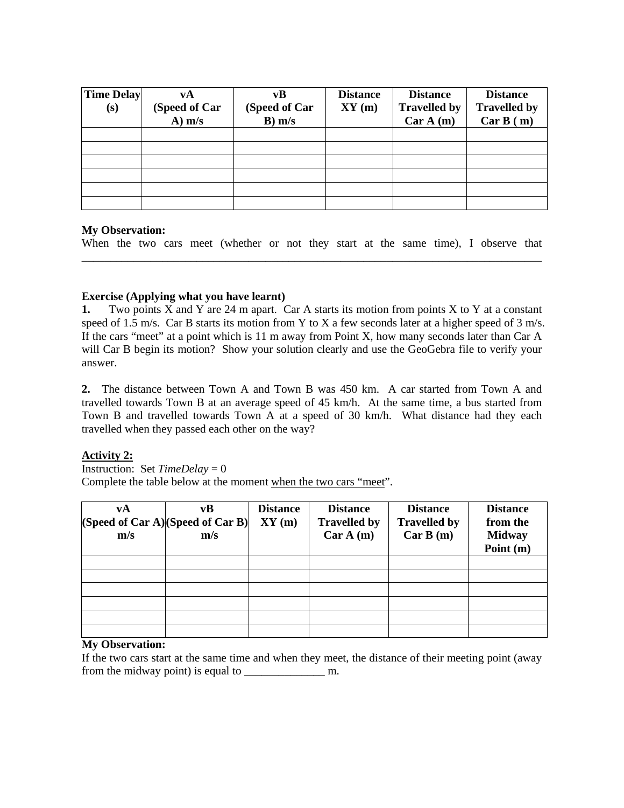| <b>Time Delay</b><br>(s) | vA<br>(Speed of Car<br>$A)$ m/s | vB<br>(Speed of Car<br>$B)$ m/s | <b>Distance</b><br>XY(m) | <b>Distance</b><br><b>Travelled by</b><br>Car A(m) | <b>Distance</b><br><b>Travelled by</b><br>Car B (m) |
|--------------------------|---------------------------------|---------------------------------|--------------------------|----------------------------------------------------|-----------------------------------------------------|
|                          |                                 |                                 |                          |                                                    |                                                     |
|                          |                                 |                                 |                          |                                                    |                                                     |
|                          |                                 |                                 |                          |                                                    |                                                     |
|                          |                                 |                                 |                          |                                                    |                                                     |
|                          |                                 |                                 |                          |                                                    |                                                     |
|                          |                                 |                                 |                          |                                                    |                                                     |

### **My Observation:**

When the two cars meet (whether or not they start at the same time), I observe that \_\_\_\_\_\_\_\_\_\_\_\_\_\_\_\_\_\_\_\_\_\_\_\_\_\_\_\_\_\_\_\_\_\_\_\_\_\_\_\_\_\_\_\_\_\_\_\_\_\_\_\_\_\_\_\_\_\_\_\_\_\_\_\_\_\_\_\_\_\_\_\_\_\_\_\_\_\_\_\_

## **Exercise (Applying what you have learnt)**

**1.** Two points X and Y are 24 m apart. Car A starts its motion from points X to Y at a constant speed of 1.5 m/s. Car B starts its motion from Y to X a few seconds later at a higher speed of 3 m/s. If the cars "meet" at a point which is 11 m away from Point X, how many seconds later than Car A will Car B begin its motion? Show your solution clearly and use the GeoGebra file to verify your answer.

**2.** The distance between Town A and Town B was 450 km. A car started from Town A and travelled towards Town B at an average speed of 45 km/h. At the same time, a bus started from Town B and travelled towards Town A at a speed of 30 km/h. What distance had they each travelled when they passed each other on the way?

### **Activity 2:**

**Instruction:** Set  $TimeDelay = 0$ 

Complete the table below at the moment when the two cars "meet".

| vA<br>m/s | vB<br>(Speed of Car A)(Speed of Car B)<br>m/s | <b>Distance</b><br>XY(m) | <b>Distance</b><br><b>Travelled by</b><br>Car A(m) | <b>Distance</b><br><b>Travelled by</b><br>Car B(m) | <b>Distance</b><br>from the<br><b>Midway</b><br>Point (m) |
|-----------|-----------------------------------------------|--------------------------|----------------------------------------------------|----------------------------------------------------|-----------------------------------------------------------|
|           |                                               |                          |                                                    |                                                    |                                                           |
|           |                                               |                          |                                                    |                                                    |                                                           |
|           |                                               |                          |                                                    |                                                    |                                                           |
|           |                                               |                          |                                                    |                                                    |                                                           |
|           |                                               |                          |                                                    |                                                    |                                                           |
|           |                                               |                          |                                                    |                                                    |                                                           |

## **My Observation:**

If the two cars start at the same time and when they meet, the distance of their meeting point (away from the midway point) is equal to \_\_\_\_\_\_\_\_\_\_\_\_\_\_ m.